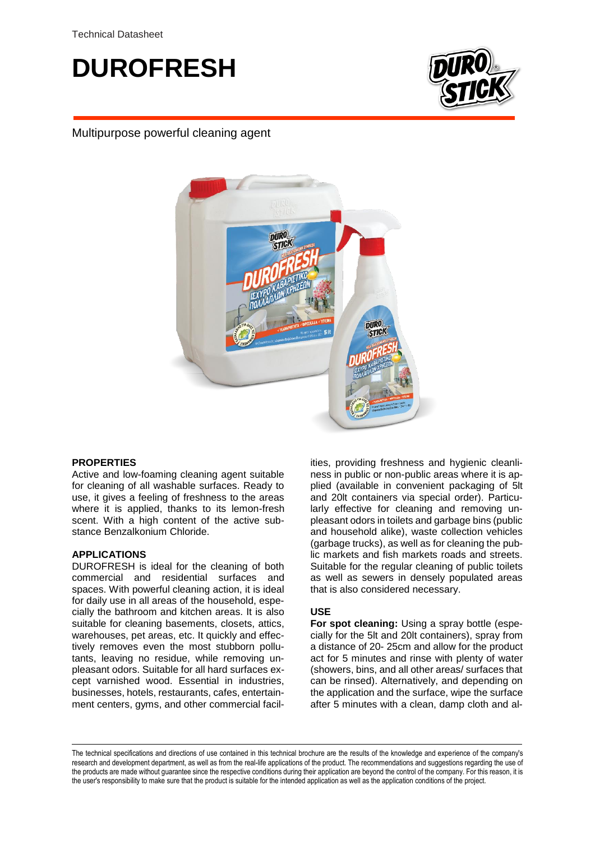# **DUROFRESH**



## Multipurpose powerful cleaning agent



## **PROPERTIES**

Active and low-foaming cleaning agent suitable for cleaning of all washable surfaces. Ready to use, it gives a feeling of freshness to the areas where it is applied, thanks to its lemon-fresh scent. With a high content of the active substance Benzalkonium Chloride.

## **APPLICATIONS**

DUROFRESH is ideal for the cleaning of both commercial and residential surfaces and spaces. With powerful cleaning action, it is ideal for daily use in all areas of the household, especially the bathroom and kitchen areas. It is also suitable for cleaning basements, closets, attics, warehouses, pet areas, etc. It quickly and effectively removes even the most stubborn pollutants, leaving no residue, while removing unpleasant odors. Suitable for all hard surfaces except varnished wood. Essential in industries, businesses, hotels, restaurants, cafes, entertainment centers, gyms, and other commercial facil-

ities, providing freshness and hygienic cleanliness in public or non-public areas where it is applied (available in convenient packaging of 5lt and 20lt containers via special order). Particularly effective for cleaning and removing unpleasant odors in toilets and garbage bins (public and household alike), waste collection vehicles (garbage trucks), as well as for cleaning the public markets and fish markets roads and streets. Suitable for the regular cleaning of public toilets as well as sewers in densely populated areas that is also considered necessary.

## **USE**

**For spot cleaning:** Using a spray bottle (especially for the 5lt and 20lt containers), spray from a distance of 20- 25cm and allow for the product act for 5 minutes and rinse with plenty of water (showers, bins, and all other areas/ surfaces that can be rinsed). Alternatively, and depending on the application and the surface, wipe the surface after 5 minutes with a clean, damp cloth and al-

The technical specifications and directions of use contained in this technical brochure are the results of the knowledge and experience of the company's research and development department, as well as from the real-life applications of the product. The recommendations and suggestions regarding the use of the products are made without guarantee since the respective conditions during their application are beyond the control of the company. For this reason, it is the user's responsibility to make sure that the product is suitable for the intended application as well as the application conditions of the project.